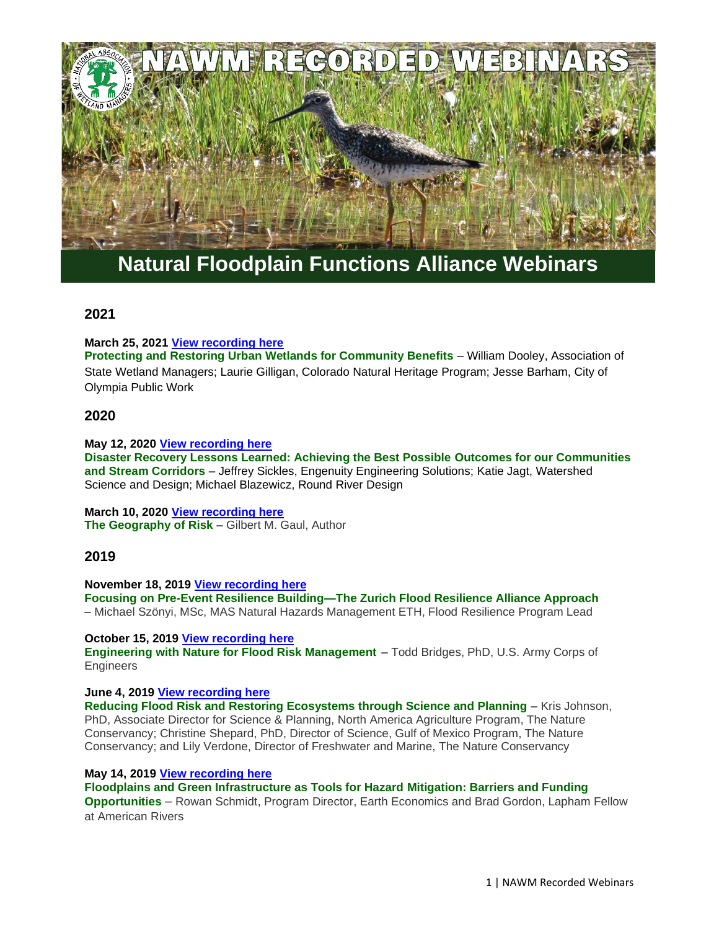

# **Natural Floodplain Functions Alliance Webinars**

# **2021**

**March 25, 2021 [View recording here](https://nawm.org/nawm/nawm-webinarscalls/10139-ast-natural-floodplain-functions-alliance-webinars#nffa032521)**

**Protecting and Restoring Urban Wetlands for Community Benefits** – William Dooley, Association of State Wetland Managers; Laurie Gilligan, Colorado Natural Heritage Program; Jesse Barham, City of Olympia Public Work

# **2020**

**May 12, 2020 [View recording here](https://nawm.org/watersheds/natural-floodplain-function-alliance/6969-2020-past-natural-floodplain-functions-alliance-nffa-webinars#webinar051220)**

**Disaster Recovery Lessons Learned: Achieving the Best Possible Outcomes for our Communities and Stream Corridors** – Jeffrey Sickles, Engenuity Engineering Solutions; Katie Jagt, Watershed Science and Design; Michael Blazewicz, Round River Design

**March 10, 2020 [View recording here](https://nawm.org/watersheds/natural-floodplain-function-alliance/6969-2020-past-natural-floodplain-functions-alliance-nffa-webinars#gual031020) The Geography of Risk** – Gilbert M. Gaul, Author

# **2019**

**November 18, 2019 [View recording here](https://nawm.org/watersheds/natural-floodplain-function-alliance/10137-2019-nffa-recorded-webinars#flood111819) Focusing on Pre-Event Resilience Building—The Zurich Flood Resilience Alliance Approach** – Michael Szönyi, MSc, MAS Natural Hazards Management ETH, Flood Resilience Program Lead

#### **October 15, 2019 [View recording here](https://nawm.org/watersheds/natural-floodplain-function-alliance/10137-2019-nffa-recorded-webinars#engineering101519)**

**Engineering with Nature for Flood Risk Management** – Todd Bridges, PhD, U.S. Army Corps of Engineers

#### **June 4, 2019 [View recording here](https://nawm.org/watersheds/natural-floodplain-function-alliance/10137-2019-nffa-recorded-webinars#floodrisk060419)**

**Reducing Flood Risk and Restoring Ecosystems through Science and Planning** – Kris Johnson, PhD, Associate Director for Science & Planning, North America Agriculture Program, The Nature Conservancy; Christine Shepard, PhD, Director of Science, Gulf of Mexico Program, The Nature Conservancy; and Lily Verdone, Director of Freshwater and Marine, The Nature Conservancy

#### **May 14, 2019 [View recording here](https://nawm.org/watersheds/natural-floodplain-function-alliance/10137-2019-nffa-recorded-webinars#webinar051419)**

**Floodplains and Green Infrastructure as Tools for Hazard Mitigation: Barriers and Funding Opportunities** – Rowan Schmidt, Program Director, Earth Economics and Brad Gordon, Lapham Fellow at American Rivers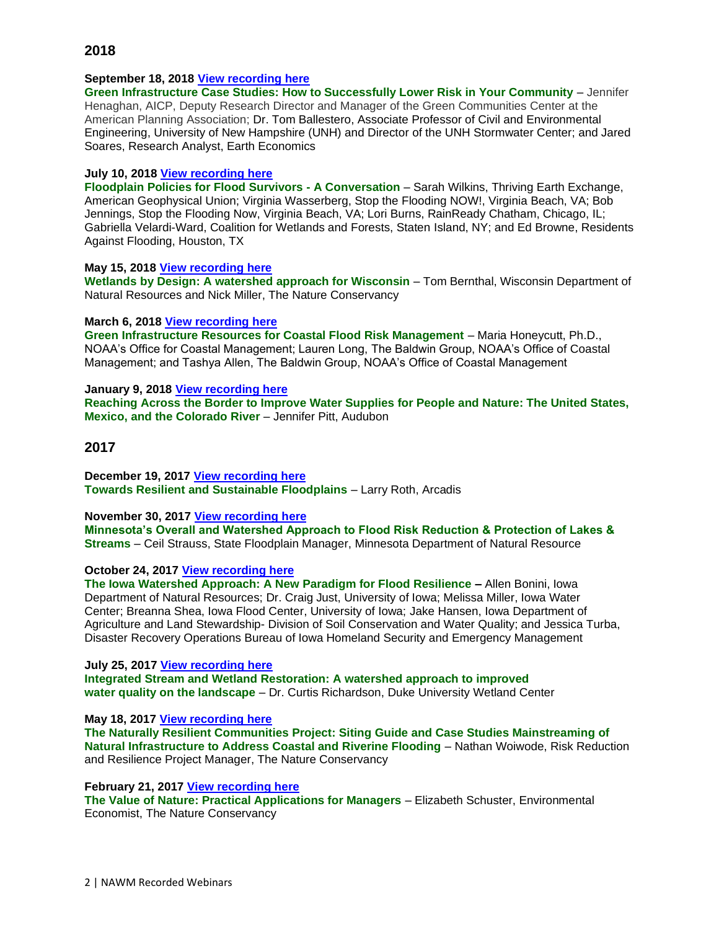# **September 18, 2018 [View recording here](https://nawm.org/watersheds/natural-floodplain-function-alliance/10108-2018-nffa-recorded-webinars#webinar091818)**

**Green Infrastructure Case Studies: How to Successfully Lower Risk in Your Community** – Jennifer Henaghan, AICP, Deputy Research Director and Manager of the Green Communities Center at the American Planning Association; Dr. Tom Ballestero, Associate Professor of Civil and Environmental Engineering, University of New Hampshire (UNH) and Director of the UNH Stormwater Center; and Jared Soares, Research Analyst, Earth Economics

# **July 10, 2018 [View recording here](https://nawm.org/watersheds/natural-floodplain-function-alliance/10108-2018-nffa-recorded-webinars#webinar071018)**

**Floodplain Policies for Flood Survivors - A Conversation** – Sarah Wilkins, Thriving Earth Exchange, American Geophysical Union; Virginia Wasserberg, Stop the Flooding NOW!, Virginia Beach, VA; Bob Jennings, Stop the Flooding Now, Virginia Beach, VA; Lori Burns, RainReady Chatham, Chicago, IL; Gabriella Velardi-Ward, Coalition for Wetlands and Forests, Staten Island, NY; and Ed Browne, Residents Against Flooding, Houston, TX

# **May 15, 2018 [View recording here](https://nawm.org/watersheds/natural-floodplain-function-alliance/10108-2018-nffa-recorded-webinars#webinar051518)**

**Wetlands by Design: A watershed approach for Wisconsin** – Tom Bernthal, Wisconsin Department of Natural Resources and Nick Miller, The Nature Conservancy

# **March 6, 2018 [View recording here](https://nawm.org/watersheds/natural-floodplain-function-alliance/10108-2018-nffa-recorded-webinars#nffamarch0618)**

**Green Infrastructure Resources for Coastal Flood Risk Management** – Maria Honeycutt, Ph.D., NOAA's Office for Coastal Management; Lauren Long, The Baldwin Group, NOAA's Office of Coastal Management; and Tashya Allen, The Baldwin Group, NOAA's Office of Coastal Management

# **January 9, 2018 [View recording here](https://nawm.org/watersheds/natural-floodplain-function-alliance/10108-2018-nffa-recorded-webinars#pittwebinar)**

**Reaching Across the Border to Improve Water Supplies for People and Nature: The United States, Mexico, and the Colorado River** – Jennifer Pitt, Audubon

# **2017**

**December 19, 2017 [View recording here](https://nawm.org/watersheds/natural-floodplain-function-alliance/9747-2017-nffa-recorded-webinars#webinardec) Towards Resilient and Sustainable Floodplains** – Larry Roth, Arcadis

#### **November 30, 2017 [View recording here](https://nawm.org/watersheds/natural-floodplain-function-alliance/9747-2017-nffa-recorded-webinars#strauss113017)**

**Minnesota's Overall and Watershed Approach to Flood Risk Reduction & Protection of Lakes & Streams** – Ceil Strauss, State Floodplain Manager, Minnesota Department of Natural Resource

#### **October 24, 2017 [View recording here](https://nawm.org/watersheds/natural-floodplain-function-alliance/9747-2017-nffa-recorded-webinars#october24)**

**The Iowa Watershed Approach: A New Paradigm for Flood Resilience –** Allen Bonini, Iowa Department of Natural Resources; Dr. Craig Just, University of Iowa; Melissa Miller, Iowa Water Center; Breanna Shea, Iowa Flood Center, University of Iowa; Jake Hansen, Iowa Department of Agriculture and Land Stewardship- Division of Soil Conservation and Water Quality; and Jessica Turba, Disaster Recovery Operations Bureau of Iowa Homeland Security and Emergency Management

**July 25, 2017 [View recording here](https://nawm.org/watersheds/natural-floodplain-function-alliance/9747-2017-nffa-recorded-webinars#webinarvideo072517) Integrated Stream and Wetland Restoration: A watershed approach to improved water quality on the landscape** – Dr. Curtis Richardson, Duke University Wetland Center

**May 18, 2017 [View recording here](https://nawm.org/testlocal/watersheds/natural-floodplain-function-alliance/9747-2017-nffa-recorded-webinars#webinar051817)**

**The Naturally Resilient Communities Project: Siting Guide and Case Studies Mainstreaming of Natural Infrastructure to Address Coastal and Riverine Flooding - Nathan Woiwode, Risk Reduction** and Resilience Project Manager, The Nature Conservancy

#### **February 21, 2017 [View recording here](https://nawm.org/watersheds/natural-floodplain-function-alliance/9747-2017-nffa-recorded-webinars#022117webinar)**

**The Value of Nature: Practical Applications for Managers** – Elizabeth Schuster, Environmental Economist, The Nature Conservancy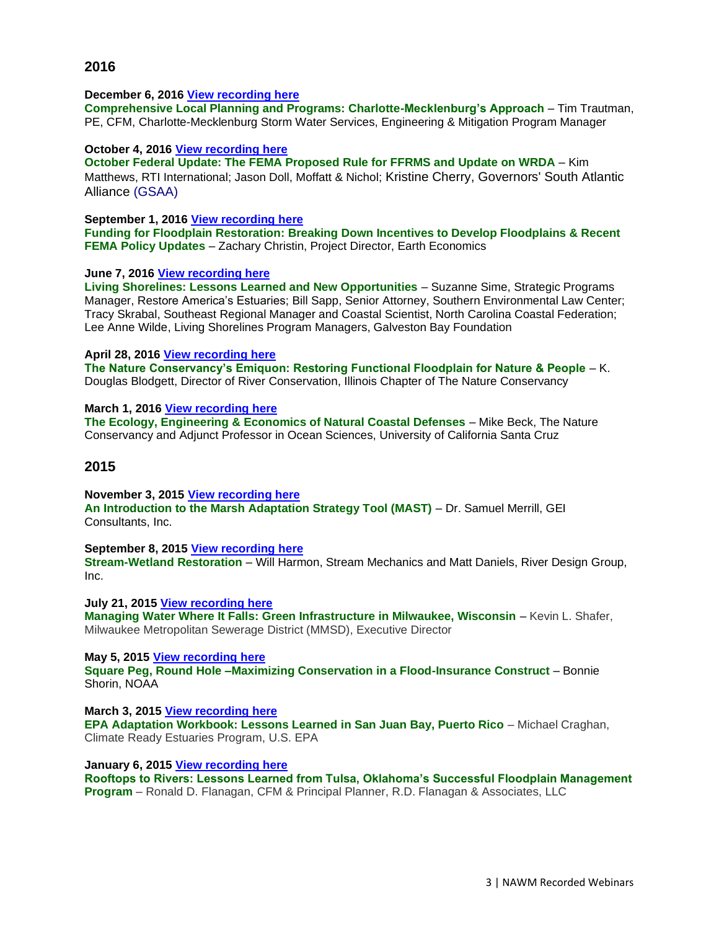#### **December 6, 2016 [View recording here](https://nawm.org/watersheds/natural-floodplain-function-alliance/9284-2016-nffa-recorded-webinars#120616webinar)**

**Comprehensive Local Planning and Programs: Charlotte-Mecklenburg's Approach** – Tim Trautman, PE, CFM, Charlotte-Mecklenburg Storm Water Services, Engineering & Mitigation Program Manager

#### **October 4, 2016 [View recording here](https://nawm.org/watersheds/natural-floodplain-function-alliance/9284-2016-nffa-recorded-webinars#100416webinar)**

**October Federal Update: The FEMA Proposed Rule for FFRMS and Update on WRDA** – Kim Matthews, RTI International; Jason Doll, Moffatt & Nichol; Kristine Cherry, Governors' South Atlantic Alliance (GSAA)

## **September 1, 2016 [View recording here](https://nawm.org/watersheds/natural-floodplain-function-alliance/9284-2016-nffa-recorded-webinars#090116webinar)**

**Funding for Floodplain Restoration: Breaking Down Incentives to Develop Floodplains & Recent FEMA Policy Updates** – Zachary Christin, Project Director, Earth Economics

#### **June 7, 2016 [View recording here](https://nawm.org/watersheds/natural-floodplain-function-alliance/9284-2016-nffa-recorded-webinars#webinar060716)**

**Living Shorelines: Lessons Learned and New Opportunities** – Suzanne Sime, Strategic Programs Manager, Restore America's Estuaries[; Bill Sapp,](http://www.aswm.org/watersheds/natural-floodplain-function-alliance/9284-2016-nffa-recorded-webinars#sapp) Senior Attorney, Southern Environmental Law Center; [Tracy Skrabal,](http://www.aswm.org/watersheds/natural-floodplain-function-alliance/9284-2016-nffa-recorded-webinars#skrabal) Southeast Regional Manager and Coastal Scientist, North Carolina Coastal Federation; [Lee Anne Wilde,](http://www.aswm.org/watersheds/natural-floodplain-function-alliance/9284-2016-nffa-recorded-webinars#wilde) Living Shorelines Program Managers, Galveston Bay Foundation

#### **April 28, 2016 [View recording here](https://nawm.org/watersheds/natural-floodplain-function-alliance/9284-2016-nffa-recorded-webinars#042816blodgett)**

**The Nature Conservancy's Emiquon: Restoring Functional Floodplain for Nature & People** – K. Douglas Blodgett, Director of River Conservation, Illinois Chapter of The Nature Conservancy

#### **March 1, 2016 [View recording here](https://nawm.org/watersheds/natural-floodplain-function-alliance/9284-2016-nffa-recorded-webinars#030116webinar)**

**The Ecology, Engineering & Economics of Natural Coastal Defenses** – Mike Beck, The Nature Conservancy and Adjunct Professor in Ocean Sciences, University of California Santa Cruz

# **2015**

**November 3, 2015 [View recording here](https://nawm.org/watersheds/natural-floodplain-function-alliance/7559-2015-nffa-recorded-webinars#merrill110315)** An Introduction to the Marsh Adaptation Strategy Tool (MAST) – Dr. Samuel Merrill, GEI Consultants, Inc.

#### **September 8, 2015 [View recording here](https://nawm.org/watersheds/natural-floodplain-function-alliance/7559-2015-nffa-recorded-webinars#webianr090815)**

**Stream-Wetland Restoration** – Will Harmon, Stream Mechanics and Matt Daniels, River Design Group, Inc.

**July 21, 2015 [View recording here](https://nawm.org/watersheds/natural-floodplain-function-alliance/7559-2015-nffa-recorded-webinars#shafer072115)**

**Managing Water Where It Falls: Green Infrastructure in Milwaukee, Wisconsin** – Kevin L. Shafer, Milwaukee Metropolitan Sewerage District (MMSD), Executive Director

**May 5, 2015 [View recording here](https://nawm.org/watersheds/natural-floodplain-function-alliance/7559-2015-nffa-recorded-webinars#050515)**

**Square Peg, Round Hole –Maximizing Conservation in a Flood-Insurance Construct** – Bonnie Shorin, NOAA

**March 3, 2015 [View recording here](https://nawm.org/watersheds/natural-floodplain-function-alliance/7559-2015-nffa-recorded-webinars#030315) EPA Adaptation Workbook: Lessons Learned in San Juan Bay, Puerto Rico** – Michael Craghan, Climate Ready Estuaries Program, U.S. EPA

**January 6, 2015 [View recording here](https://nawm.org/watersheds/natural-floodplain-function-alliance/7559-2015-nffa-recorded-webinars#010615)**

**Rooftops to Rivers: Lessons Learned from Tulsa, Oklahoma's Successful Floodplain Management Program** – Ronald D. Flanagan, CFM & Principal Planner, R.D. Flanagan & Associates, LLC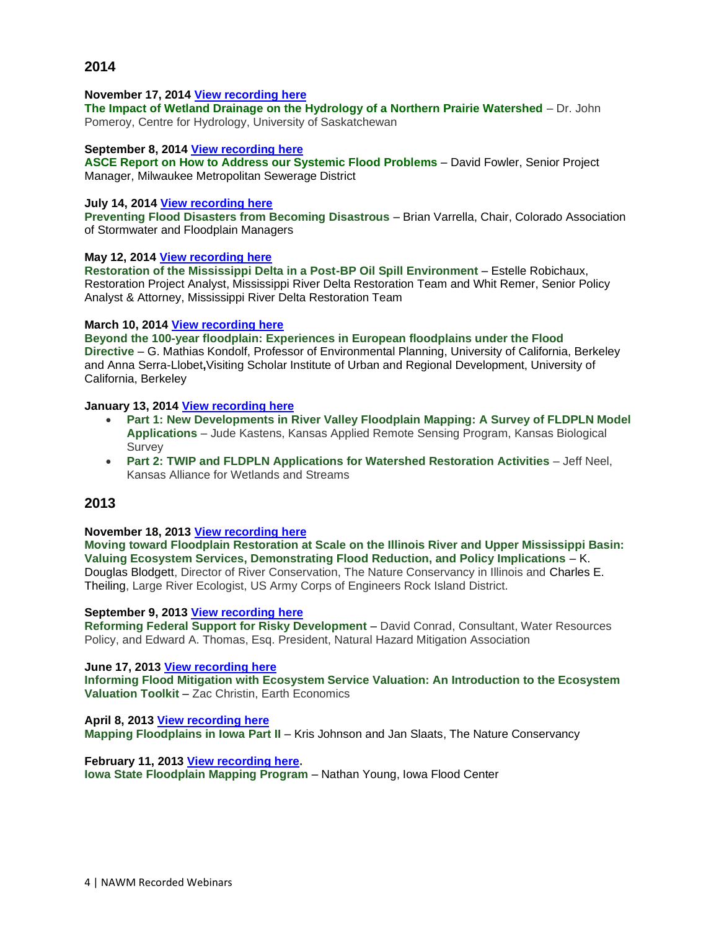#### **November 17, 2014 [View recording here](https://nawm.org/watersheds/natural-floodplain-function-alliance/7033-2014-recorded-nffa-webinars#111714)**

**The Impact of Wetland Drainage on the Hydrology of a Northern Prairie Watershed** – Dr. John Pomeroy, Centre for Hydrology, University of Saskatchewan

#### **September 8, 2014 [View recording here](https://nawm.org/watersheds/natural-floodplain-function-alliance/7033-2014-recorded-nffa-webinars#100614)**

**ASCE Report on How to Address our Systemic Flood Problems** – David Fowler, Senior Project Manager, Milwaukee Metropolitan Sewerage District

## **July 14, 2014 [View recording here](https://nawm.org/watersheds/natural-floodplain-function-alliance/7033-2014-recorded-nffa-webinars#071414)**

**Preventing Flood Disasters from Becoming Disastrous** – Brian Varrella, Chair, Colorado Association of Stormwater and Floodplain Managers

# **May 12, 2014 [View recording here](https://nawm.org/watersheds/natural-floodplain-function-alliance/7033-2014-recorded-nffa-webinars#051214)**

**Restoration of the Mississippi Delta in a Post-BP Oil Spill Environment** – Estelle Robichaux, Restoration Project Analyst, Mississippi River Delta Restoration Team and Whit Remer, Senior Policy Analyst & Attorney, Mississippi River Delta Restoration Team

# **March 10, 2014 [View recording here](https://nawm.org/watersheds/natural-floodplain-function-alliance/7033-2014-recorded-nffa-webinars#031014)**

**Beyond the 100-year floodplain: Experiences in European floodplains under the Flood Directive** – G. Mathias Kondolf, Professor of Environmental Planning, University of California, Berkeley and Anna Serra-Llobet**,**Visiting Scholar Institute of Urban and Regional Development, University of California, Berkeley

# **January 13, 2014 [View recording here](https://nawm.org/watersheds/natural-floodplain-function-alliance/7033-2014-recorded-nffa-webinars#011314)**

- **Part 1: New Developments in River Valley Floodplain Mapping: A Survey of FLDPLN Model Applications** – Jude Kastens, Kansas Applied Remote Sensing Program, Kansas Biological Survey
- **Part 2: TWIP and FLDPLN Applications for Watershed Restoration Activities** Jeff Neel, Kansas Alliance for Wetlands and Streams

# **2013**

# **November 18, 2013 [View recording here](https://nawm.org/watersheds/natural-floodplain-function-alliance/7024-2013-recorded-nffa-webinars#18)**

**Moving toward Floodplain Restoration at Scale on the Illinois River and Upper Mississippi Basin: Valuing Ecosystem Services, Demonstrating Flood Reduction, and Policy Implications** – K. Douglas Blodgett, Director of River Conservation, The Nature Conservancy in Illinois and Charles E. Theiling, Large River Ecologist, US Army Corps of Engineers Rock Island District.

#### **September 9, 2013 [View recording here](https://nawm.org/watersheds/natural-floodplain-function-alliance/7024-2013-recorded-nffa-webinars#090913)**

**Reforming Federal Support for Risky Development** – David Conrad, Consultant, Water Resources Policy, and Edward A. Thomas, Esq. President, Natural Hazard Mitigation Association

#### **June 17, 2013 [View recording here](https://nawm.org/watersheds/natural-floodplain-function-alliance/7024-2013-recorded-nffa-webinars#061713)**

**Informing Flood Mitigation with Ecosystem Service Valuation: An Introduction to the Ecosystem Valuation Toolkit** – Zac Christin, Earth Economics

**April 8, 2013 [View recording here](https://nawm.org/watersheds/natural-floodplain-function-alliance/7024-2013-recorded-nffa-webinars#040813) [Mapping Floodplains in Iowa Part II](http://aswm.org/pdf_lib/nffa_webinar/johnson_slaats.pdf)** – Kris Johnson and Jan Slaats, The Nature Conservancy

**February 11, 2013 [View recording here.](https://nawm.org/watersheds/natural-floodplain-function-alliance/7024-2013-recorded-nffa-webinars#021113) Iowa State Floodplain Mapping Program** – Nathan Young, Iowa Flood Center